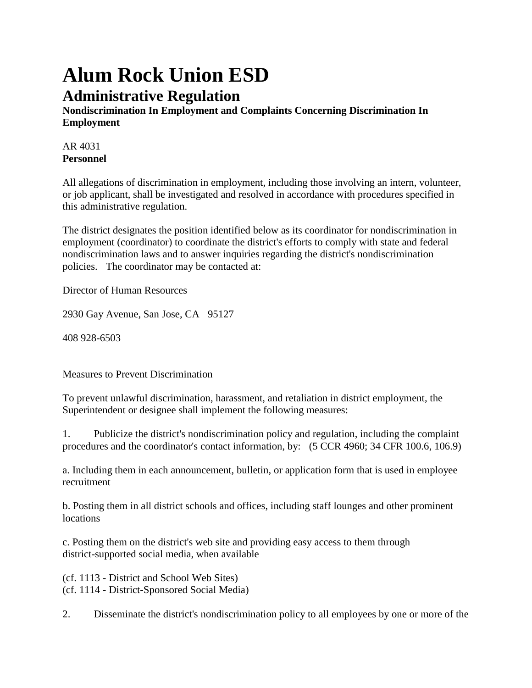## **Alum Rock Union ESD Administrative Regulation**

**Nondiscrimination In Employment and Complaints Concerning Discrimination In Employment**

AR 4031 **Personnel**

All allegations of discrimination in employment, including those involving an intern, volunteer, or job applicant, shall be investigated and resolved in accordance with procedures specified in this administrative regulation.

The district designates the position identified below as its coordinator for nondiscrimination in employment (coordinator) to coordinate the district's efforts to comply with state and federal nondiscrimination laws and to answer inquiries regarding the district's nondiscrimination policies. The coordinator may be contacted at:

Director of Human Resources

2930 Gay Avenue, San Jose, CA 95127

408 928-6503

Measures to Prevent Discrimination

To prevent unlawful discrimination, harassment, and retaliation in district employment, the Superintendent or designee shall implement the following measures:

1. Publicize the district's nondiscrimination policy and regulation, including the complaint procedures and the coordinator's contact information, by: (5 CCR 4960; 34 CFR 100.6, 106.9)

a. Including them in each announcement, bulletin, or application form that is used in employee recruitment

b. Posting them in all district schools and offices, including staff lounges and other prominent locations

c. Posting them on the district's web site and providing easy access to them through district-supported social media, when available

(cf. 1113 - District and School Web Sites) (cf. 1114 - District-Sponsored Social Media)

2. Disseminate the district's nondiscrimination policy to all employees by one or more of the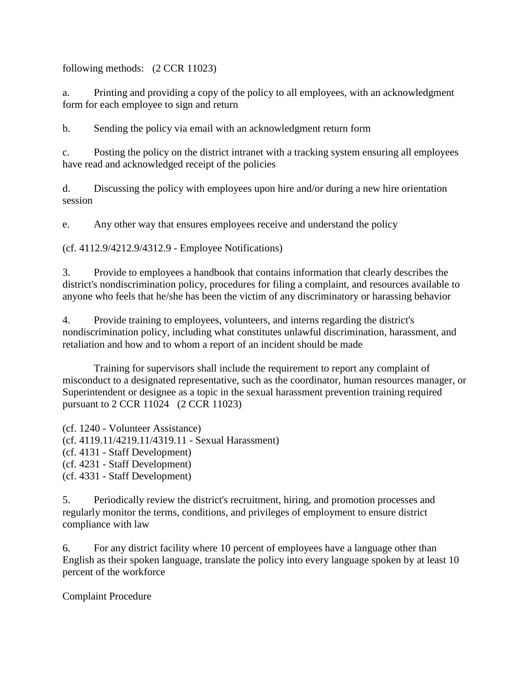following methods: (2 CCR 11023)

a. Printing and providing a copy of the policy to all employees, with an acknowledgment form for each employee to sign and return

b. Sending the policy via email with an acknowledgment return form

c. Posting the policy on the district intranet with a tracking system ensuring all employees have read and acknowledged receipt of the policies

d. Discussing the policy with employees upon hire and/or during a new hire orientation session

e. Any other way that ensures employees receive and understand the policy

(cf. 4112.9/4212.9/4312.9 - Employee Notifications)

3. Provide to employees a handbook that contains information that clearly describes the district's nondiscrimination policy, procedures for filing a complaint, and resources available to anyone who feels that he/she has been the victim of any discriminatory or harassing behavior

4. Provide training to employees, volunteers, and interns regarding the district's nondiscrimination policy, including what constitutes unlawful discrimination, harassment, and retaliation and how and to whom a report of an incident should be made

Training for supervisors shall include the requirement to report any complaint of misconduct to a designated representative, such as the coordinator, human resources manager, or Superintendent or designee as a topic in the sexual harassment prevention training required pursuant to 2 CCR 11024 (2 CCR 11023)

(cf. 1240 - Volunteer Assistance) (cf. 4119.11/4219.11/4319.11 - Sexual Harassment) (cf. 4131 - Staff Development) (cf. 4231 - Staff Development) (cf. 4331 - Staff Development)

5. Periodically review the district's recruitment, hiring, and promotion processes and regularly monitor the terms, conditions, and privileges of employment to ensure district compliance with law

6. For any district facility where 10 percent of employees have a language other than English as their spoken language, translate the policy into every language spoken by at least 10 percent of the workforce

Complaint Procedure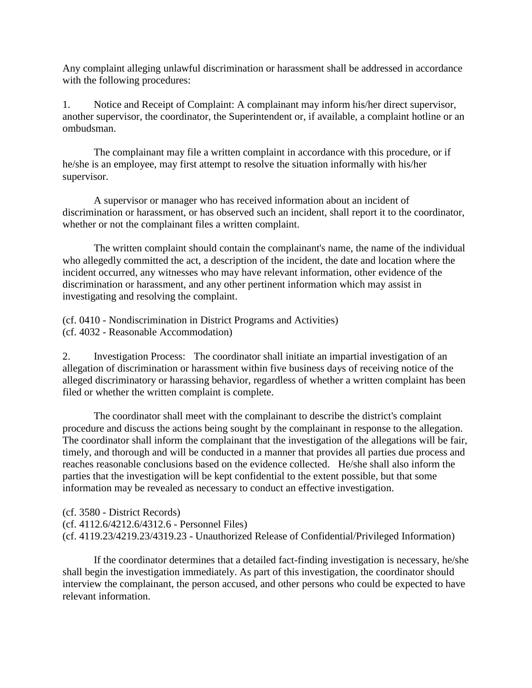Any complaint alleging unlawful discrimination or harassment shall be addressed in accordance with the following procedures:

1. Notice and Receipt of Complaint: A complainant may inform his/her direct supervisor, another supervisor, the coordinator, the Superintendent or, if available, a complaint hotline or an ombudsman.

The complainant may file a written complaint in accordance with this procedure, or if he/she is an employee, may first attempt to resolve the situation informally with his/her supervisor.

A supervisor or manager who has received information about an incident of discrimination or harassment, or has observed such an incident, shall report it to the coordinator, whether or not the complainant files a written complaint.

The written complaint should contain the complainant's name, the name of the individual who allegedly committed the act, a description of the incident, the date and location where the incident occurred, any witnesses who may have relevant information, other evidence of the discrimination or harassment, and any other pertinent information which may assist in investigating and resolving the complaint.

(cf. 0410 - Nondiscrimination in District Programs and Activities) (cf. 4032 - Reasonable Accommodation)

2. Investigation Process: The coordinator shall initiate an impartial investigation of an allegation of discrimination or harassment within five business days of receiving notice of the alleged discriminatory or harassing behavior, regardless of whether a written complaint has been filed or whether the written complaint is complete.

The coordinator shall meet with the complainant to describe the district's complaint procedure and discuss the actions being sought by the complainant in response to the allegation. The coordinator shall inform the complainant that the investigation of the allegations will be fair, timely, and thorough and will be conducted in a manner that provides all parties due process and reaches reasonable conclusions based on the evidence collected. He/she shall also inform the parties that the investigation will be kept confidential to the extent possible, but that some information may be revealed as necessary to conduct an effective investigation.

(cf. 3580 - District Records) (cf. 4112.6/4212.6/4312.6 - Personnel Files) (cf. 4119.23/4219.23/4319.23 - Unauthorized Release of Confidential/Privileged Information)

If the coordinator determines that a detailed fact-finding investigation is necessary, he/she shall begin the investigation immediately. As part of this investigation, the coordinator should interview the complainant, the person accused, and other persons who could be expected to have relevant information.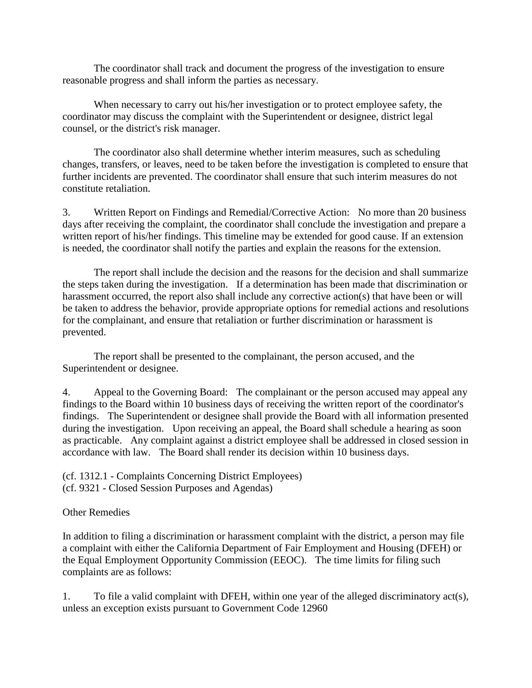The coordinator shall track and document the progress of the investigation to ensure reasonable progress and shall inform the parties as necessary.

When necessary to carry out his/her investigation or to protect employee safety, the coordinator may discuss the complaint with the Superintendent or designee, district legal counsel, or the district's risk manager.

The coordinator also shall determine whether interim measures, such as scheduling changes, transfers, or leaves, need to be taken before the investigation is completed to ensure that further incidents are prevented. The coordinator shall ensure that such interim measures do not constitute retaliation.

3. Written Report on Findings and Remedial/Corrective Action: No more than 20 business days after receiving the complaint, the coordinator shall conclude the investigation and prepare a written report of his/her findings. This timeline may be extended for good cause. If an extension is needed, the coordinator shall notify the parties and explain the reasons for the extension.

The report shall include the decision and the reasons for the decision and shall summarize the steps taken during the investigation. If a determination has been made that discrimination or harassment occurred, the report also shall include any corrective action(s) that have been or will be taken to address the behavior, provide appropriate options for remedial actions and resolutions for the complainant, and ensure that retaliation or further discrimination or harassment is prevented.

The report shall be presented to the complainant, the person accused, and the Superintendent or designee.

4. Appeal to the Governing Board: The complainant or the person accused may appeal any findings to the Board within 10 business days of receiving the written report of the coordinator's findings. The Superintendent or designee shall provide the Board with all information presented during the investigation. Upon receiving an appeal, the Board shall schedule a hearing as soon as practicable. Any complaint against a district employee shall be addressed in closed session in accordance with law. The Board shall render its decision within 10 business days.

(cf. 1312.1 - Complaints Concerning District Employees) (cf. 9321 - Closed Session Purposes and Agendas)

## Other Remedies

In addition to filing a discrimination or harassment complaint with the district, a person may file a complaint with either the California Department of Fair Employment and Housing (DFEH) or the Equal Employment Opportunity Commission (EEOC). The time limits for filing such complaints are as follows:

1. To file a valid complaint with DFEH, within one year of the alleged discriminatory act(s), unless an exception exists pursuant to Government Code 12960